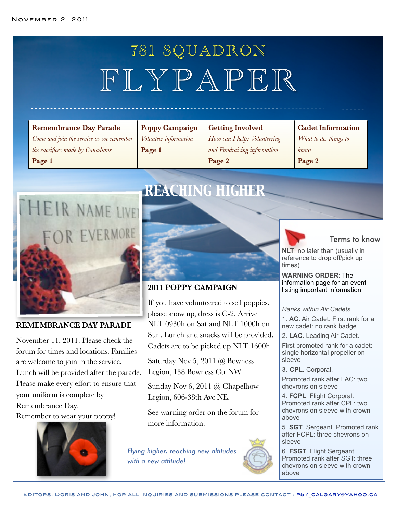# 781 SQUADRON FLYPAPER

#### **Remembrance Day Parade**

*Come and join the service as we remember the sacrifices made by Canadians* **Page 1**

**Poppy Campaign** *Volunteer information* **Page 1**

#### **Getting Involved**

*How can I help? Volunteering and Fundraising information* **Page 2**

#### **Cadet Information**

*What to do, things to know* **Page 2**



#### **REMEMBRANCE DAY PARADE**

November 11, 2011. Please check the forum for times and locations. Families are welcome to join in the service. Lunch will be provided after the parade. Please make every effort to ensure that your uniform is complete by Remembrance Day. Remember to wear your poppy!



# *REACHING HIGHER*



## **2011 POPPY CAMPAIGN**

If you have volunteered to sell poppies, please show up, dress is C-2. Arrive NLT 0930h on Sat and NLT 1000h on Sun. Lunch and snacks will be provided. Cadets are to be picked up NLT 1600h.

Saturday Nov 5, 2011 @ Bowness Legion, 138 Bowness Ctr NW

Sunday Nov 6, 2011 @ Chapelhow Legion, 606-38th Ave NE.

See warning order on the forum for more information.

*Flying higher, reaching new altitudes with a new attitude!*

Terms to know

**NLT**: no later than (usually in reference to drop off/pick up times)

**WARNING ORDER**: The information page for an event listing important information

#### *Ranks within Air Cadets*

1. **AC**. Air Cadet. First rank for a new cadet: no rank badge

2. **LAC**. Leading Air Cadet.

First promoted rank for a cadet: single horizontal propeller on sleeve

3. **CPL**. Corporal.

Promoted rank after LAC: two chevrons on sleeve

4. **FCPL**. Flight Corporal. Promoted rank after CPL: two chevrons on sleeve with crown above

5. **SGT**. Sergeant. Promoted rank after FCPL: three chevrons on sleeve

6. **FSGT**. Flight Sergeant. Promoted rank after SGT: three chevrons on sleeve with crown above